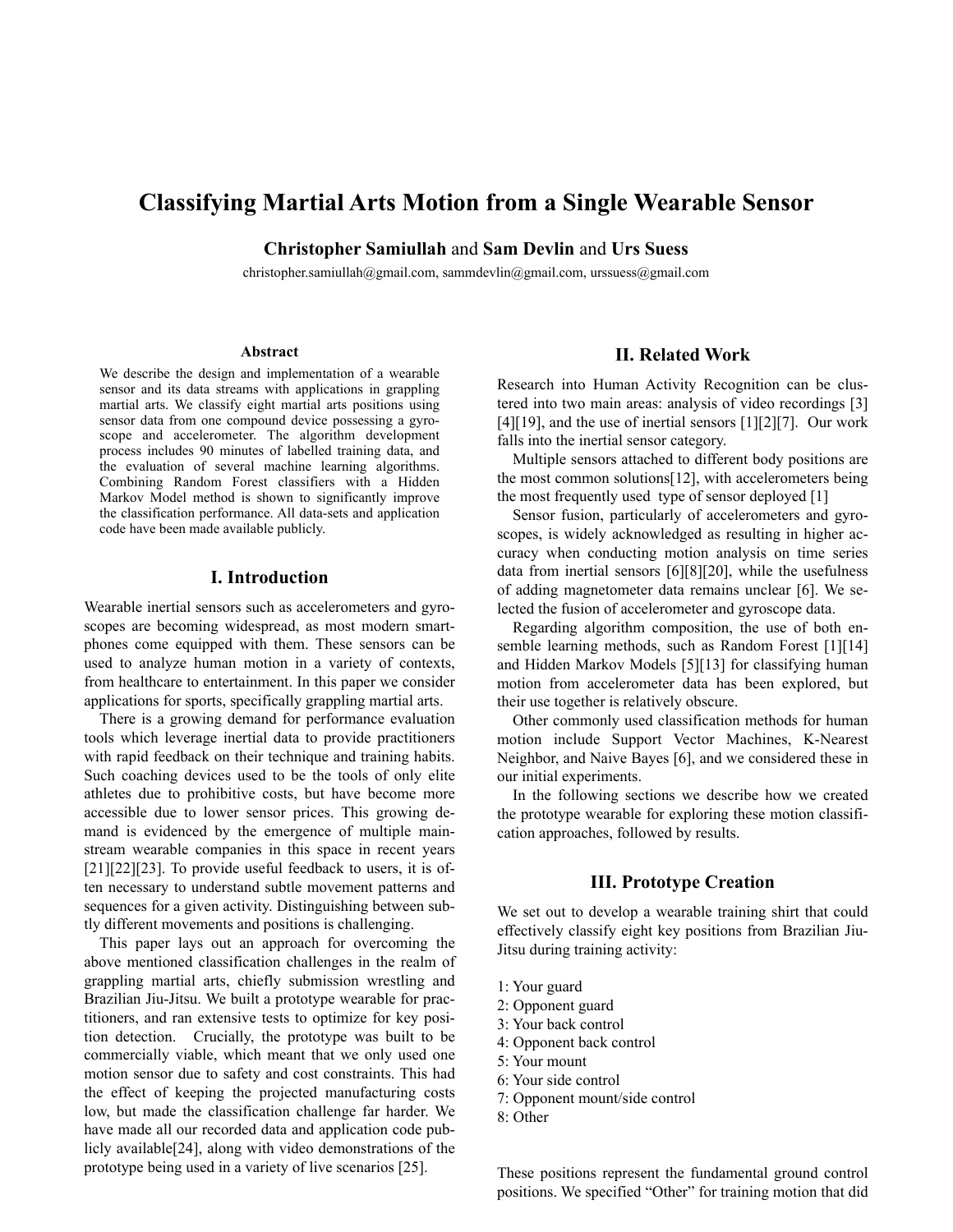# **Classifying Martial Arts Motion from a Single Wearable Sensor**

**Christopher Samiullah** and **Sam Devlin** and **Urs Suess** 

[christopher.samiullah@gmail.com,](mailto:christopher.samiullah@gmail.com) [sammdevlin@gmail.com,](mailto:sammdevlin@gmail.com) urssuess@gmail.com

#### **Abstract**

We describe the design and implementation of a wearable sensor and its data streams with applications in grappling martial arts. We classify eight martial arts positions using sensor data from one compound device possessing a gyroscope and accelerometer. The algorithm development process includes 90 minutes of labelled training data, and the evaluation of several machine learning algorithms. Combining Random Forest classifiers with a Hidden Markov Model method is shown to significantly improve the classification performance. All data-sets and application code have been made available publicly.

### **I. Introduction**

Wearable inertial sensors such as accelerometers and gyroscopes are becoming widespread, as most modern smartphones come equipped with them. These sensors can be used to analyze human motion in a variety of contexts, from healthcare to entertainment. In this paper we consider applications for sports, specifically grappling martial arts.

 There is a growing demand for performance evaluation tools which leverage inertial data to provide practitioners with rapid feedback on their technique and training habits. Such coaching devices used to be the tools of only elite athletes due to prohibitive costs, but have become more accessible due to lower sensor prices. This growing demand is evidenced by the emergence of multiple mainstream wearable companies in this space in recent years [21][22][23]. To provide useful feedback to users, it is often necessary to understand subtle movement patterns and sequences for a given activity. Distinguishing between subtly different movements and positions is challenging.

 This paper lays out an approach for overcoming the above mentioned classification challenges in the realm of grappling martial arts, chiefly submission wrestling and Brazilian Jiu-Jitsu. We built a prototype wearable for practitioners, and ran extensive tests to optimize for key position detection. Crucially, the prototype was built to be commercially viable, which meant that we only used one motion sensor due to safety and cost constraints. This had the effect of keeping the projected manufacturing costs low, but made the classification challenge far harder. We have made all our recorded data and application code publicly available[24], along with video demonstrations of the prototype being used in a variety of live scenarios [25].

## **II. Related Work**

Research into Human Activity Recognition can be clustered into two main areas: analysis of video recordings [3] [4][19], and the use of inertial sensors  $[1][2][7]$ . Our work falls into the inertial sensor category.

 Multiple sensors attached to different body positions are the most common solutions[12], with accelerometers being the most frequently used type of sensor deployed [1]

 Sensor fusion, particularly of accelerometers and gyroscopes, is widely acknowledged as resulting in higher accuracy when conducting motion analysis on time series data from inertial sensors [6][8][20], while the usefulness of adding magnetometer data remains unclear [6]. We selected the fusion of accelerometer and gyroscope data.

 Regarding algorithm composition, the use of both ensemble learning methods, such as Random Forest [1][14] and Hidden Markov Models [5][13] for classifying human motion from accelerometer data has been explored, but their use together is relatively obscure.

 Other commonly used classification methods for human motion include Support Vector Machines, K-Nearest Neighbor, and Naive Bayes [6], and we considered these in our initial experiments.

 In the following sections we describe how we created the prototype wearable for exploring these motion classification approaches, followed by results.

# **III. Prototype Creation**

We set out to develop a wearable training shirt that could effectively classify eight key positions from Brazilian Jiu-Jitsu during training activity:

- 1: Your guard
- 2: Opponent guard
- 3: Your back control
- 4: Opponent back control
- 5: Your mount
- 6: Your side control
- 7: Opponent mount/side control
- 8: Other

These positions represent the fundamental ground control positions. We specified "Other" for training motion that did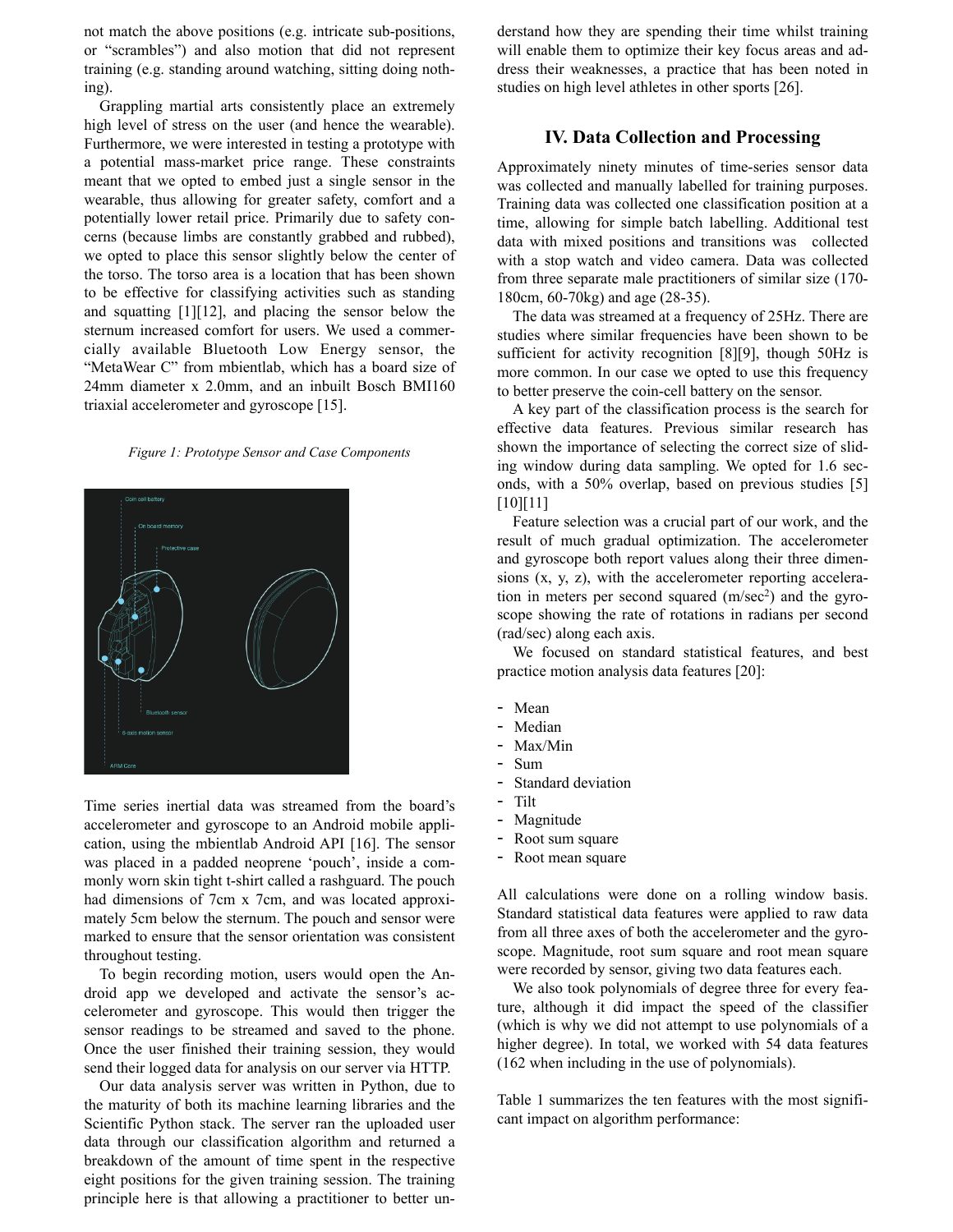not match the above positions (e.g. intricate sub-positions, or "scrambles") and also motion that did not represent training (e.g. standing around watching, sitting doing nothing).

 Grappling martial arts consistently place an extremely high level of stress on the user (and hence the wearable). Furthermore, we were interested in testing a prototype with a potential mass-market price range. These constraints meant that we opted to embed just a single sensor in the wearable, thus allowing for greater safety, comfort and a potentially lower retail price. Primarily due to safety concerns (because limbs are constantly grabbed and rubbed), we opted to place this sensor slightly below the center of the torso. The torso area is a location that has been shown to be effective for classifying activities such as standing and squatting [1][12], and placing the sensor below the sternum increased comfort for users. We used a commercially available Bluetooth Low Energy sensor, the "MetaWear C" from mbientlab, which has a board size of 24mm diameter x 2.0mm, and an inbuilt Bosch BMI160 triaxial accelerometer and gyroscope [15].

#### *Figure 1: Prototype Sensor and Case Components*



Time series inertial data was streamed from the board's accelerometer and gyroscope to an Android mobile application, using the mbientlab Android API [16]. The sensor was placed in a padded neoprene 'pouch', inside a commonly worn skin tight t-shirt called a rashguard. The pouch had dimensions of 7cm x 7cm, and was located approximately 5cm below the sternum. The pouch and sensor were marked to ensure that the sensor orientation was consistent throughout testing.

 To begin recording motion, users would open the Android app we developed and activate the sensor's accelerometer and gyroscope. This would then trigger the sensor readings to be streamed and saved to the phone. Once the user finished their training session, they would send their logged data for analysis on our server via HTTP.

 Our data analysis server was written in Python, due to the maturity of both its machine learning libraries and the Scientific Python stack. The server ran the uploaded user data through our classification algorithm and returned a breakdown of the amount of time spent in the respective eight positions for the given training session. The training principle here is that allowing a practitioner to better un-

derstand how they are spending their time whilst training will enable them to optimize their key focus areas and address their weaknesses, a practice that has been noted in studies on high level athletes in other sports [26].

### **IV. Data Collection and Processing**

Approximately ninety minutes of time-series sensor data was collected and manually labelled for training purposes. Training data was collected one classification position at a time, allowing for simple batch labelling. Additional test data with mixed positions and transitions was collected with a stop watch and video camera. Data was collected from three separate male practitioners of similar size (170- 180cm, 60-70kg) and age (28-35).

 The data was streamed at a frequency of 25Hz. There are studies where similar frequencies have been shown to be sufficient for activity recognition [8][9], though 50Hz is more common. In our case we opted to use this frequency to better preserve the coin-cell battery on the sensor.

 A key part of the classification process is the search for effective data features. Previous similar research has shown the importance of selecting the correct size of sliding window during data sampling. We opted for 1.6 seconds, with a 50% overlap, based on previous studies [5] [10][11]

 Feature selection was a crucial part of our work, and the result of much gradual optimization. The accelerometer and gyroscope both report values along their three dimensions (x, y, z), with the accelerometer reporting acceleration in meters per second squared (m/sec<sup>2</sup>) and the gyroscope showing the rate of rotations in radians per second (rad/sec) along each axis.

 We focused on standard statistical features, and best practice motion analysis data features [20]:

- Mean
- Median
- Max/Min
- Sum
- Standard deviation
- Tilt
- Magnitude
- Root sum square
- Root mean square

All calculations were done on a rolling window basis. Standard statistical data features were applied to raw data from all three axes of both the accelerometer and the gyroscope. Magnitude, root sum square and root mean square were recorded by sensor, giving two data features each.

 We also took polynomials of degree three for every feature, although it did impact the speed of the classifier (which is why we did not attempt to use polynomials of a higher degree). In total, we worked with 54 data features (162 when including in the use of polynomials).

Table 1 summarizes the ten features with the most significant impact on algorithm performance: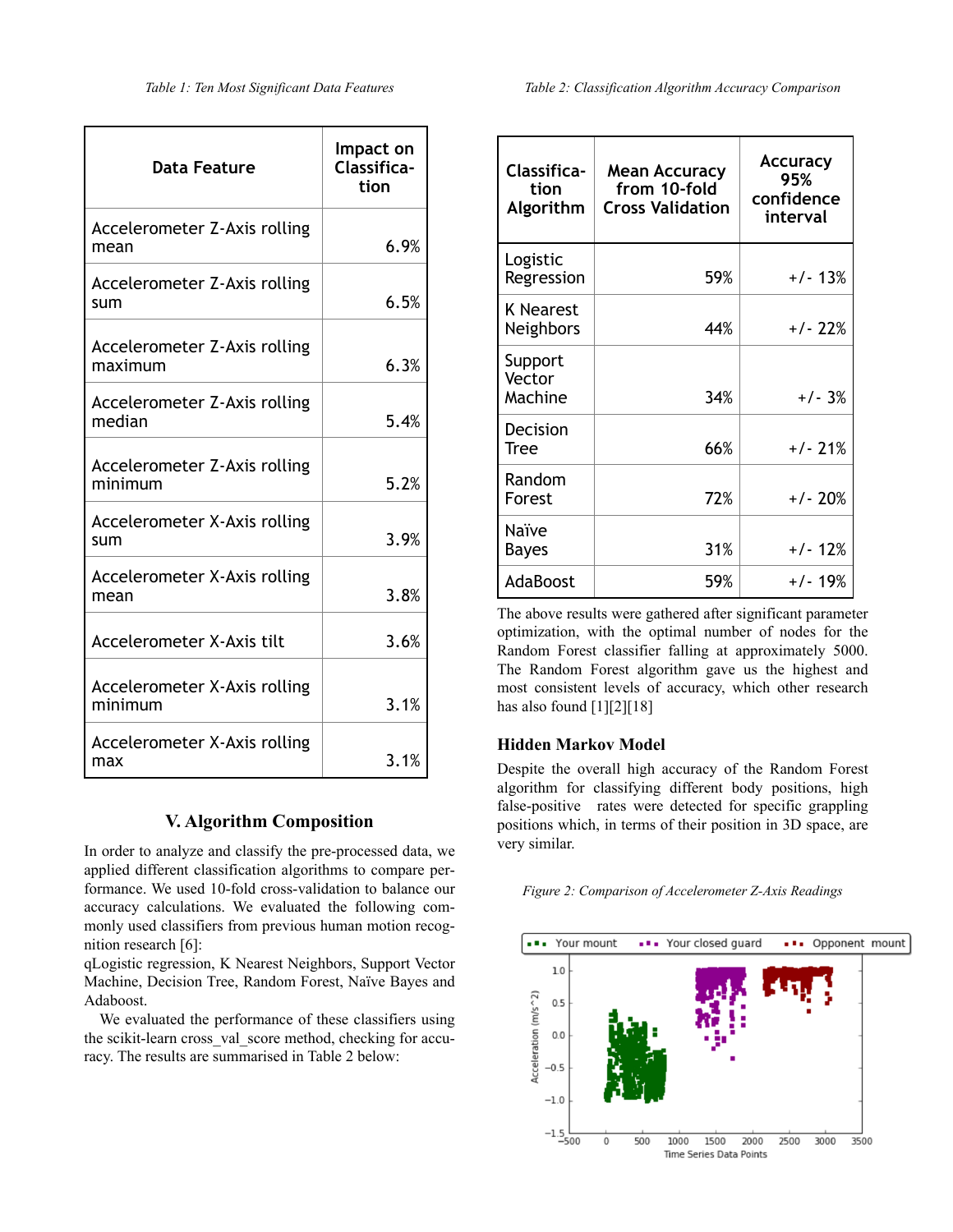| <b>Data Feature</b>                     | Impact on<br>Classifica-<br>tion |
|-----------------------------------------|----------------------------------|
| Accelerometer Z-Axis rolling<br>mean    | 6.9%                             |
| Accelerometer Z-Axis rolling<br>sum     | 6.5%                             |
| Accelerometer Z-Axis rolling<br>maximum | 6.3%                             |
| Accelerometer Z-Axis rolling<br>median  | 5.4%                             |
| Accelerometer Z-Axis rolling<br>minimum | 5.2%                             |
| Accelerometer X-Axis rolling<br>sum     | 3.9%                             |
| Accelerometer X-Axis rolling<br>mean    | 3.8%                             |
| Accelerometer X-Axis tilt               | 3.6%                             |
| Accelerometer X-Axis rolling<br>minimum | 3.1%                             |
| Accelerometer X-Axis rolling<br>max     | 3.1%                             |

# **V. Algorithm Composition**

In order to analyze and classify the pre-processed data, we applied different classification algorithms to compare performance. We used 10-fold cross-validation to balance our accuracy calculations. We evaluated the following commonly used classifiers from previous human motion recognition research [6]:

qLogistic regression, K Nearest Neighbors, Support Vector Machine, Decision Tree, Random Forest, Naïve Bayes and Adaboost.

 We evaluated the performance of these classifiers using the scikit-learn cross\_val\_score method, checking for accuracy. The results are summarised in Table 2 below:

| Classifica-<br>tion<br>Algorithm | <b>Mean Accuracy</b><br>from 10-fold<br><b>Cross Validation</b> | <b>Accuracy</b><br>95%<br>confidence<br>interval |
|----------------------------------|-----------------------------------------------------------------|--------------------------------------------------|
| Logistic<br>Regression           | 59%                                                             | $+/- 13%$                                        |
| <b>K</b> Nearest<br>Neighbors    | 44%                                                             | $+/- 22%$                                        |
| Support<br>Vector<br>Machine     | 34%                                                             | $+/- 3%$                                         |
| Decision<br>Tree                 | 66%                                                             | $+/- 21%$                                        |
| Random<br>Forest                 | 72%                                                             | $+/- 20%$                                        |
| Naïve<br>Bayes                   | 31%                                                             | $+/- 12%$                                        |
| AdaBoost                         | 59%                                                             | +/- 19%                                          |

The above results were gathered after significant parameter optimization, with the optimal number of nodes for the Random Forest classifier falling at approximately 5000. The Random Forest algorithm gave us the highest and most consistent levels of accuracy, which other research has also found [1][2][18]

### **Hidden Markov Model**

Despite the overall high accuracy of the Random Forest algorithm for classifying different body positions, high false-positive rates were detected for specific grappling positions which, in terms of their position in 3D space, are very similar.

|  |  |  |  | Figure 2: Comparison of Accelerometer Z-Axis Readings |  |  |
|--|--|--|--|-------------------------------------------------------|--|--|
|--|--|--|--|-------------------------------------------------------|--|--|

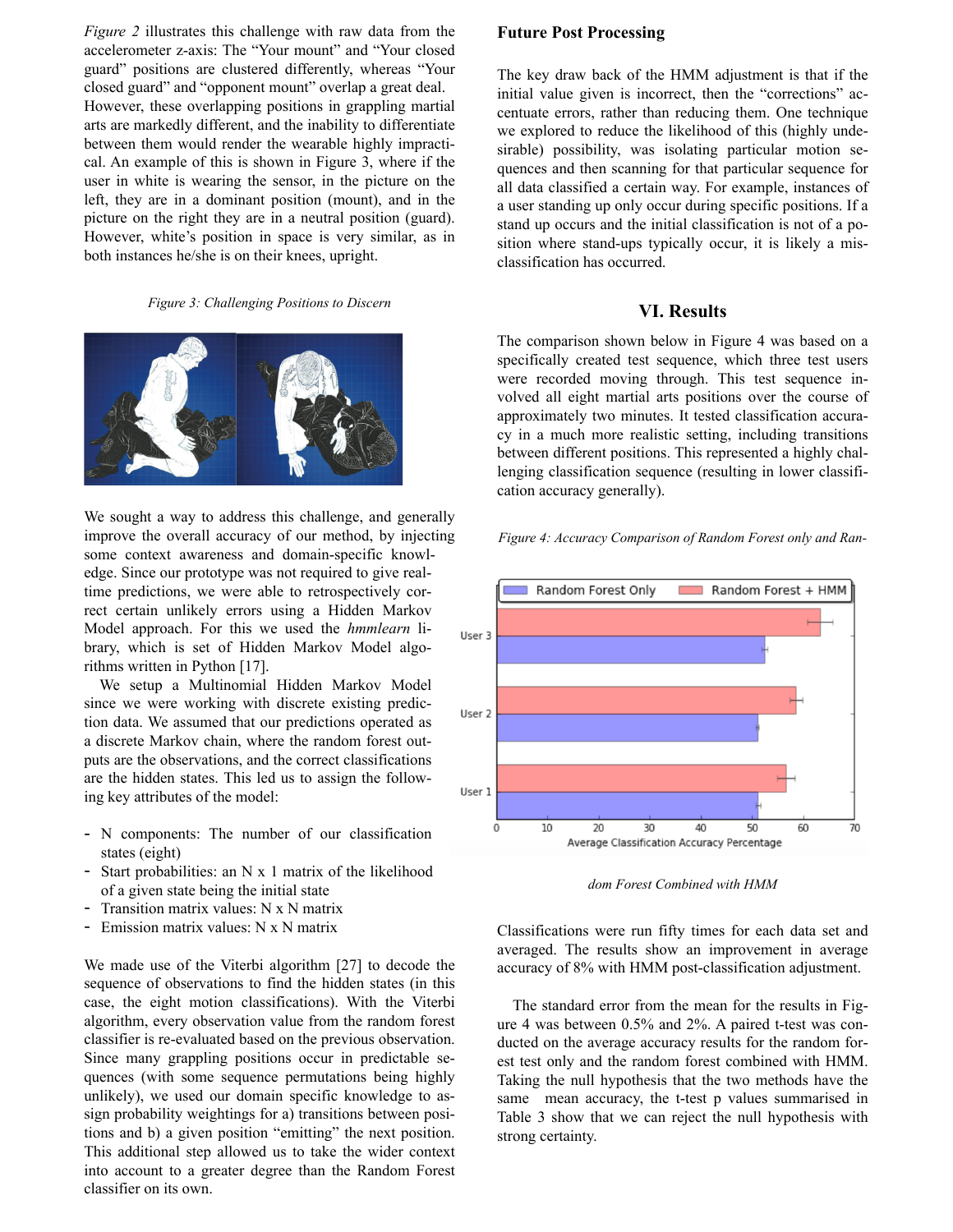*Figure 2* illustrates this challenge with raw data from the accelerometer z-axis: The "Your mount" and "Your closed guard" positions are clustered differently, whereas "Your closed guard" and "opponent mount" overlap a great deal. However, these overlapping positions in grappling martial arts are markedly different, and the inability to differentiate between them would render the wearable highly impractical. An example of this is shown in Figure 3, where if the user in white is wearing the sensor, in the picture on the left, they are in a dominant position (mount), and in the picture on the right they are in a neutral position (guard). However, white's position in space is very similar, as in both instances he/she is on their knees, upright.

#### *Figure 3: Challenging Positions to Discern*



We sought a way to address this challenge, and generally improve the overall accuracy of our method, by injecting some context awareness and domain-specific knowledge. Since our prototype was not required to give realtime predictions, we were able to retrospectively correct certain unlikely errors using a Hidden Markov Model approach. For this we used the *hmmlearn* library, which is set of Hidden Markov Model algorithms written in Python [17].

 We setup a Multinomial Hidden Markov Model since we were working with discrete existing prediction data. We assumed that our predictions operated as a discrete Markov chain, where the random forest outputs are the observations, and the correct classifications are the hidden states. This led us to assign the following key attributes of the model:

- N components: The number of our classification states (eight)
- Start probabilities: an N x 1 matrix of the likelihood of a given state being the initial state
- Transition matrix values: N x N matrix
- Emission matrix values: N x N matrix

We made use of the Viterbi algorithm [27] to decode the sequence of observations to find the hidden states (in this case, the eight motion classifications). With the Viterbi algorithm, every observation value from the random forest classifier is re-evaluated based on the previous observation. Since many grappling positions occur in predictable sequences (with some sequence permutations being highly unlikely), we used our domain specific knowledge to assign probability weightings for a) transitions between positions and b) a given position "emitting" the next position. This additional step allowed us to take the wider context into account to a greater degree than the Random Forest classifier on its own.

### **Future Post Processing**

The key draw back of the HMM adjustment is that if the initial value given is incorrect, then the "corrections" accentuate errors, rather than reducing them. One technique we explored to reduce the likelihood of this (highly undesirable) possibility, was isolating particular motion sequences and then scanning for that particular sequence for all data classified a certain way. For example, instances of a user standing up only occur during specific positions. If a stand up occurs and the initial classification is not of a position where stand-ups typically occur, it is likely a misclassification has occurred.

## **VI. Results**

The comparison shown below in Figure 4 was based on a specifically created test sequence, which three test users were recorded moving through. This test sequence involved all eight martial arts positions over the course of approximately two minutes. It tested classification accuracy in a much more realistic setting, including transitions between different positions. This represented a highly challenging classification sequence (resulting in lower classification accuracy generally).

*Figure 4: Accuracy Comparison of Random Forest only and Ran-*



*dom Forest Combined with HMM* 

Classifications were run fifty times for each data set and averaged. The results show an improvement in average accuracy of 8% with HMM post-classification adjustment.

 The standard error from the mean for the results in Figure 4 was between 0.5% and 2%. A paired t-test was conducted on the average accuracy results for the random forest test only and the random forest combined with HMM. Taking the null hypothesis that the two methods have the same mean accuracy, the t-test p values summarised in Table 3 show that we can reject the null hypothesis with strong certainty.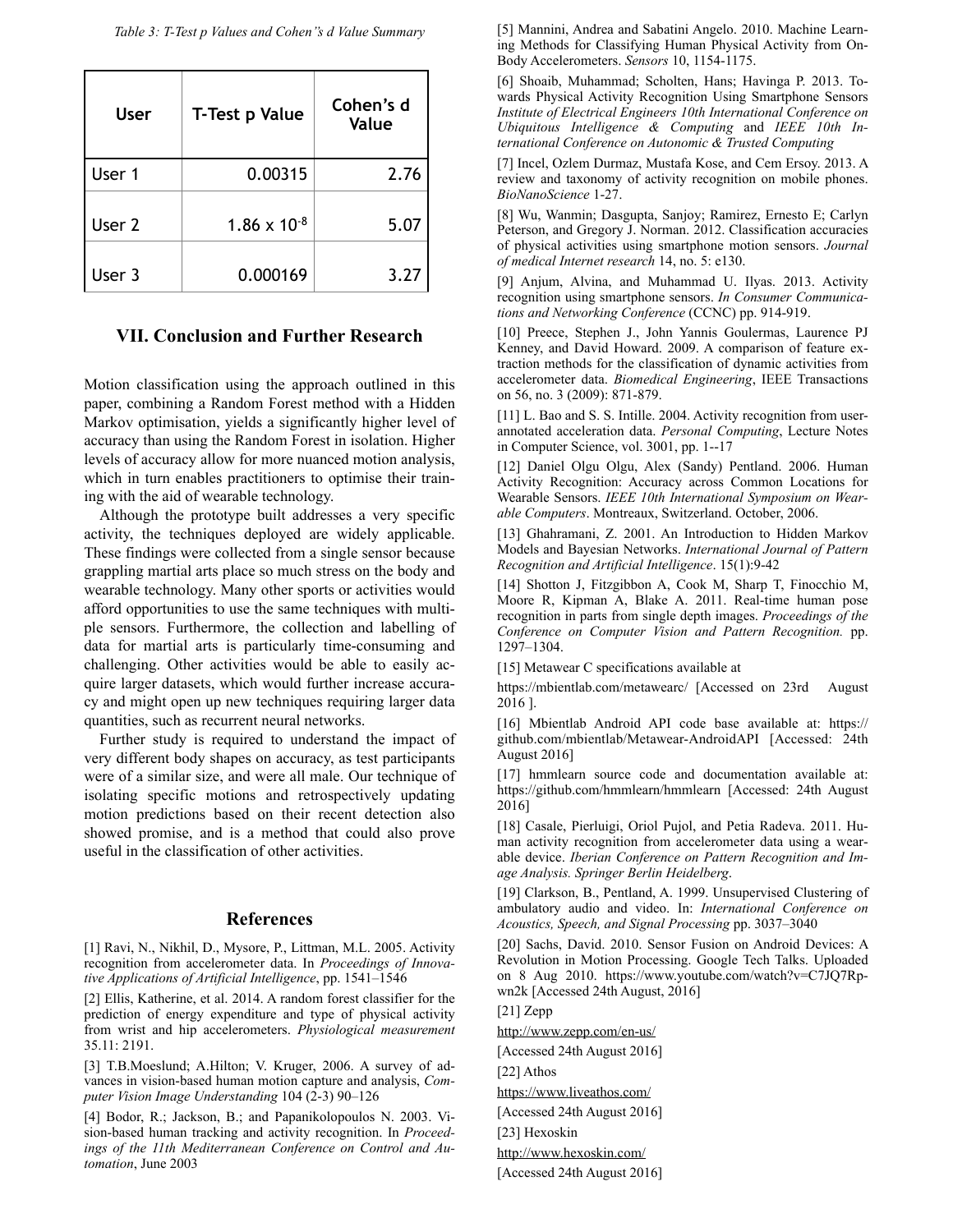*Table 3: T-Test p Values and Cohen''s d Value Summary* 

| <b>User</b> | T-Test p Value        | Cohen's d<br>Value |
|-------------|-----------------------|--------------------|
| User 1      | 0.00315               | 2.76               |
| User 2      | $1.86 \times 10^{-8}$ | 5.07               |
| User 3      | 0.000169              | 3.27               |

# **VII. Conclusion and Further Research**

Motion classification using the approach outlined in this paper, combining a Random Forest method with a Hidden Markov optimisation, yields a significantly higher level of accuracy than using the Random Forest in isolation. Higher levels of accuracy allow for more nuanced motion analysis, which in turn enables practitioners to optimise their training with the aid of wearable technology.

 Although the prototype built addresses a very specific activity, the techniques deployed are widely applicable. These findings were collected from a single sensor because grappling martial arts place so much stress on the body and wearable technology. Many other sports or activities would afford opportunities to use the same techniques with multiple sensors. Furthermore, the collection and labelling of data for martial arts is particularly time-consuming and challenging. Other activities would be able to easily acquire larger datasets, which would further increase accuracy and might open up new techniques requiring larger data quantities, such as recurrent neural networks.

 Further study is required to understand the impact of very different body shapes on accuracy, as test participants were of a similar size, and were all male. Our technique of isolating specific motions and retrospectively updating motion predictions based on their recent detection also showed promise, and is a method that could also prove useful in the classification of other activities.

#### **References**

[1] Ravi, N., Nikhil, D., Mysore, P., Littman, M.L. 2005. Activity recognition from accelerometer data. In *Proceedings of Innovative Applications of Artificial Intelligence*, pp. 1541–1546

[2] Ellis, Katherine, et al. 2014. A random forest classifier for the prediction of energy expenditure and type of physical activity from wrist and hip accelerometers. *Physiological measurement*  35.11: 2191.

[3] T.B.Moeslund; A.Hilton; V. Kruger, 2006. A survey of advances in vision-based human motion capture and analysis, *Computer Vision Image Understanding* 104 (2-3) 90–126

[4] Bodor, R.; Jackson, B.; and Papanikolopoulos N. 2003. Vision-based human tracking and activity recognition. In *Proceedings of the 11th Mediterranean Conference on Control and Automation*, June 2003

[5] Mannini, Andrea and Sabatini Angelo. 2010. Machine Learning Methods for Classifying Human Physical Activity from On-Body Accelerometers. *Sensors* 10, 1154-1175.

[6] Shoaib, Muhammad; Scholten, Hans; Havinga P. 2013. Towards Physical Activity Recognition Using Smartphone Sensors *Institute of Electrical Engineers 10th International Conference on Ubiquitous Intelligence & Computing* and *IEEE 10th International Conference on Autonomic & Trusted Computing*

[7] Incel, Ozlem Durmaz, Mustafa Kose, and Cem Ersoy. 2013. A review and taxonomy of activity recognition on mobile phones. *BioNanoScience* 1-27.

[8] Wu, Wanmin; Dasgupta, Sanjoy; Ramirez, Ernesto E; Carlyn Peterson, and Gregory J. Norman. 2012. Classification accuracies of physical activities using smartphone motion sensors. *Journal of medical Internet research* 14, no. 5: e130.

[9] Anjum, Alvina, and Muhammad U. Ilyas. 2013. Activity recognition using smartphone sensors. *In Consumer Communications and Networking Conference* (CCNC) pp. 914-919.

[10] Preece, Stephen J., John Yannis Goulermas, Laurence PJ Kenney, and David Howard. 2009. A comparison of feature extraction methods for the classification of dynamic activities from accelerometer data. *Biomedical Engineering*, IEEE Transactions on 56, no. 3 (2009): 871-879.

[11] L. Bao and S. S. Intille. 2004. Activity recognition from userannotated acceleration data. *Personal Computing*, Lecture Notes in Computer Science, vol. 3001, pp. 1--17

[12] Daniel Olgu Olgu, Alex (Sandy) Pentland. 2006. Human Activity Recognition: Accuracy across Common Locations for Wearable Sensors. *IEEE 10th International Symposium on Wearable Computers*. Montreaux, Switzerland. October, 2006.

[13] Ghahramani, Z. 2001. An Introduction to Hidden Markov Models and Bayesian Networks. *International Journal of Pattern Recognition and Artificial Intelligence*. 15(1):9-42

[14] Shotton J, Fitzgibbon A, Cook M, Sharp T, Finocchio M, Moore R, Kipman A, Blake A. 2011. Real-time human pose recognition in parts from single depth images. *Proceedings of the Conference on Computer Vision and Pattern Recognition.* pp. 1297–1304.

[15] Metawear C specifications available at

https://mbientlab.com/metawearc/ [Accessed on 23rd August 2016 ].

[16] Mbientlab Android API code base available at: https:// github.com/mbientlab/Metawear-AndroidAPI [Accessed: 24th August 2016]

[17] hmmlearn source code and documentation available at: https://github.com/hmmlearn/hmmlearn [Accessed: 24th August 2016]

[18] Casale, Pierluigi, Oriol Pujol, and Petia Radeva. 2011. Human activity recognition from accelerometer data using a wearable device. *Iberian Conference on Pattern Recognition and Image Analysis. Springer Berlin Heidelberg*.

[19] Clarkson, B., Pentland, A. 1999. Unsupervised Clustering of ambulatory audio and video. In: *International Conference on Acoustics, Speech, and Signal Processing* pp. 3037–3040

[20] Sachs, David. 2010. Sensor Fusion on Android Devices: A Revolution in Motion Processing. Google Tech Talks. Uploaded on 8 Aug 2010. https://www.youtube.com/watch?v=C7JQ7Rpwn2k [Accessed 24th August, 2016]

[21] Zepp

<http://www.zepp.com/en-us/>

[Accessed 24th August 2016]

[22] Athos

<https://www.liveathos.com/>

[Accessed 24th August 2016]

[23] Hexoskin

<http://www.hexoskin.com/>

[Accessed 24th August 2016]